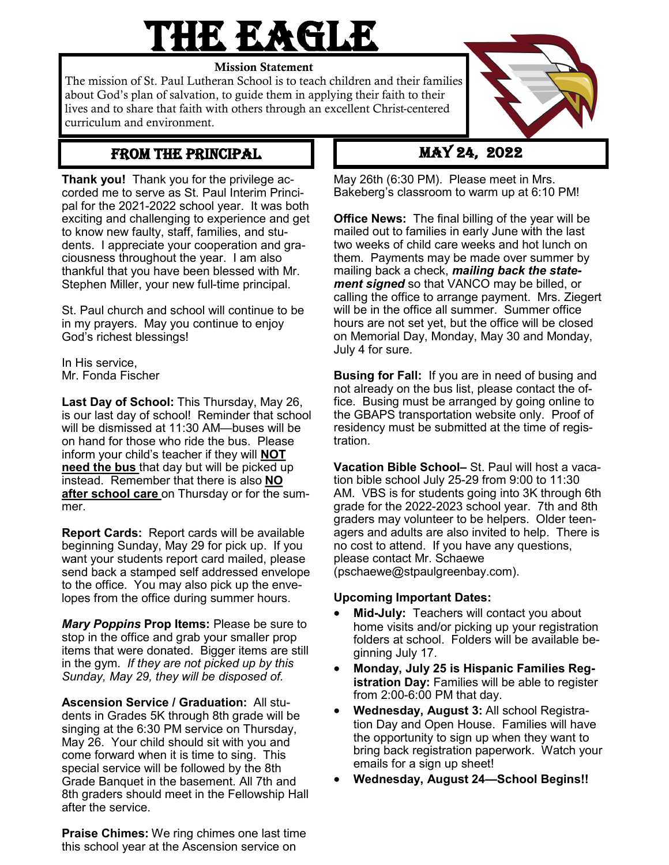## **THE EAGLE**

Mission Statement

The mission of St. Paul Lutheran School is to teach children and their families about God's plan of salvation, to guide them in applying their faith to their lives and to share that faith with others through an excellent Christ-centered curriculum and environment.



**Thank you!** Thank you for the privilege accorded me to serve as St. Paul Interim Principal for the 2021-2022 school year. It was both exciting and challenging to experience and get to know new faulty, staff, families, and students. I appreciate your cooperation and graciousness throughout the year. I am also thankful that you have been blessed with Mr. Stephen Miller, your new full-time principal.

St. Paul church and school will continue to be in my prayers. May you continue to enjoy God's richest blessings!

In His service, Mr. Fonda Fischer

**Last Day of School:** This Thursday, May 26, is our last day of school! Reminder that school will be dismissed at 11:30 AM—buses will be on hand for those who ride the bus. Please inform your child's teacher if they will **NOT need the bus** that day but will be picked up instead. Remember that there is also **NO after school care** on Thursday or for the summer.

**Report Cards:** Report cards will be available beginning Sunday, May 29 for pick up. If you want your students report card mailed, please send back a stamped self addressed envelope to the office. You may also pick up the envelopes from the office during summer hours.

*Mary Poppins* **Prop Items:** Please be sure to stop in the office and grab your smaller prop items that were donated. Bigger items are still in the gym. *If they are not picked up by this Sunday, May 29, they will be disposed of.*

**Ascension Service / Graduation:** All students in Grades 5K through 8th grade will be singing at the 6:30 PM service on Thursday, May 26. Your child should sit with you and come forward when it is time to sing. This special service will be followed by the 8th Grade Banquet in the basement. All 7th and 8th graders should meet in the Fellowship Hall after the service.

**Praise Chimes:** We ring chimes one last time this school year at the Ascension service on

May 26th (6:30 PM). Please meet in Mrs. Bakeberg's classroom to warm up at 6:10 PM!

**Office News:** The final billing of the year will be mailed out to families in early June with the last two weeks of child care weeks and hot lunch on them. Payments may be made over summer by mailing back a check, *mailing back the statement signed* so that VANCO may be billed, or calling the office to arrange payment. Mrs. Ziegert will be in the office all summer. Summer office hours are not set yet, but the office will be closed on Memorial Day, Monday, May 30 and Monday, July 4 for sure.

**Busing for Fall:** If you are in need of busing and not already on the bus list, please contact the office. Busing must be arranged by going online to the GBAPS transportation website only. Proof of residency must be submitted at the time of registration.

**Vacation Bible School–** St. Paul will host a vacation bible school July 25-29 from 9:00 to 11:30 AM. VBS is for students going into 3K through 6th grade for the 2022-2023 school year. 7th and 8th graders may volunteer to be helpers. Older teenagers and adults are also invited to help. There is no cost to attend. If you have any questions, please contact Mr. Schaewe (pschaewe@stpaulgreenbay.com).

## **Upcoming Important Dates:**

- **Mid-July:** Teachers will contact you about home visits and/or picking up your registration folders at school. Folders will be available beginning July 17.
- **Monday, July 25 is Hispanic Families Registration Day: Families will be able to register** from 2:00-6:00 PM that day.
- **Wednesday, August 3:** All school Registration Day and Open House. Families will have the opportunity to sign up when they want to bring back registration paperwork. Watch your emails for a sign up sheet!
- **Wednesday, August 24—School Begins!!**